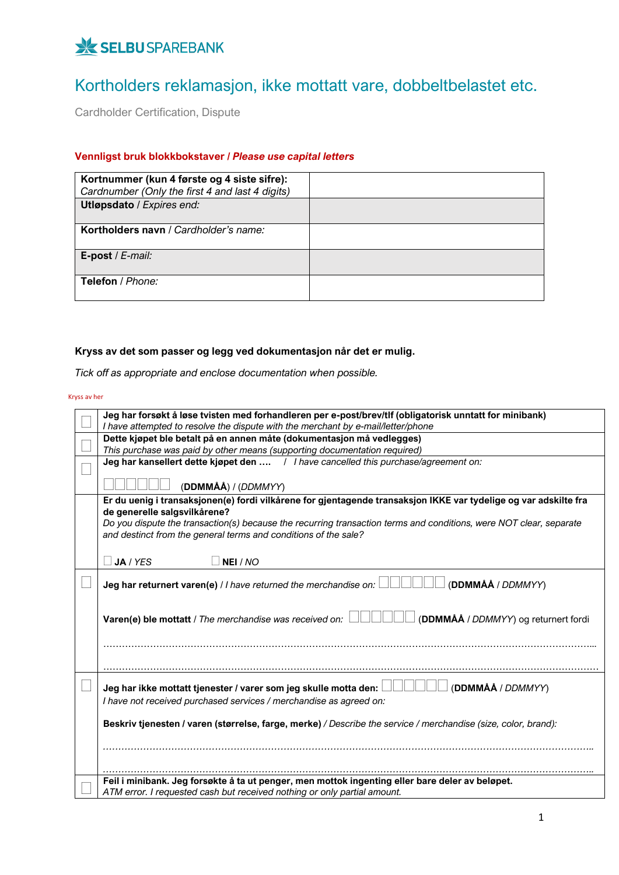# SELBUSPAREBANK

### Kortholders reklamasjon, ikke mottatt vare, dobbeltbelastet etc.

Cardholder Certification, Dispute

### **Vennligst bruk blokkbokstaver /** *Please use capital letters*

| Kortnummer (kun 4 første og 4 siste sifre):     |  |
|-------------------------------------------------|--|
| Cardnumber (Only the first 4 and last 4 digits) |  |
| <b>Utløpsdato</b> / Expires end:                |  |
| Kortholders navn / Cardholder's name:           |  |
| E-post / E-mail:                                |  |
| <b>Telefon</b> / Phone:                         |  |

#### **Kryss av det som passer og legg ved dokumentasjon når det er mulig.**

*Tick off as appropriate and enclose documentation when possible.*

#### Kryss av her

| Jeg har forsøkt å løse tvisten med forhandleren per e-post/brev/tlf (obligatorisk unntatt for minibank)            |  |  |  |  |
|--------------------------------------------------------------------------------------------------------------------|--|--|--|--|
| I have attempted to resolve the dispute with the merchant by e-mail/letter/phone                                   |  |  |  |  |
| Dette kjøpet ble betalt på en annen måte (dokumentasjon må vedlegges)                                              |  |  |  |  |
| This purchase was paid by other means (supporting documentation required)                                          |  |  |  |  |
| Jeg har kansellert dette kjøpet den  / I have cancelled this purchase/agreement on:                                |  |  |  |  |
|                                                                                                                    |  |  |  |  |
| (DDMMÅÅ) / (DDMMYY)                                                                                                |  |  |  |  |
| Er du uenig i transaksjonen(e) fordi vilkårene for gjentagende transaksjon IKKE var tydelige og var adskilte fra   |  |  |  |  |
| de generelle salgsvilkårene?                                                                                       |  |  |  |  |
| Do you dispute the transaction(s) because the recurring transaction terms and conditions, were NOT clear, separate |  |  |  |  |
| and destinct from the general terms and conditions of the sale?                                                    |  |  |  |  |
|                                                                                                                    |  |  |  |  |
|                                                                                                                    |  |  |  |  |
| JA / YES<br>NEI / NO                                                                                               |  |  |  |  |
| (DDMMÅÅ / DDMMYY)<br>Jeg har returnert varen(e) / I have returned the merchandise on:                              |  |  |  |  |
|                                                                                                                    |  |  |  |  |
|                                                                                                                    |  |  |  |  |
| (DDMMÅÅ / DDMMYY) og returnert fordi<br>Varen(e) ble mottatt / The merchandise was received on:                    |  |  |  |  |
|                                                                                                                    |  |  |  |  |
|                                                                                                                    |  |  |  |  |
|                                                                                                                    |  |  |  |  |
|                                                                                                                    |  |  |  |  |
|                                                                                                                    |  |  |  |  |
| (DDMMÅÅ / DDMMYY)<br>Jeg har ikke mottatt tjenester / varer som jeg skulle motta den:                              |  |  |  |  |
| I have not received purchased services / merchandise as agreed on:                                                 |  |  |  |  |
|                                                                                                                    |  |  |  |  |
| Beskriv tjenesten / varen (størrelse, farge, merke) / Describe the service / merchandise (size, color, brand):     |  |  |  |  |
|                                                                                                                    |  |  |  |  |
|                                                                                                                    |  |  |  |  |
|                                                                                                                    |  |  |  |  |
|                                                                                                                    |  |  |  |  |
| Feil i minibank. Jeg forsøkte å ta ut penger, men mottok ingenting eller bare deler av beløpet.                    |  |  |  |  |
|                                                                                                                    |  |  |  |  |
| ATM error. I requested cash but received nothing or only partial amount.                                           |  |  |  |  |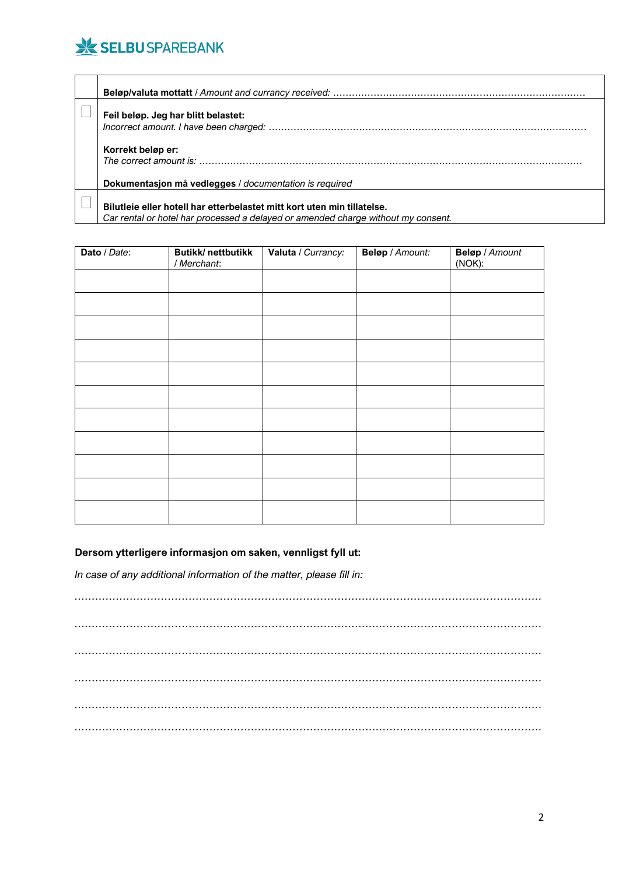## SELBU SPAREBANK

| Feil beløp. Jeg har blitt belastet:                                               |  |  |  |  |  |
|-----------------------------------------------------------------------------------|--|--|--|--|--|
|                                                                                   |  |  |  |  |  |
|                                                                                   |  |  |  |  |  |
| Korrekt beløp er:                                                                 |  |  |  |  |  |
| The correct amount is: $\ldots$ , $\ldots$                                        |  |  |  |  |  |
|                                                                                   |  |  |  |  |  |
|                                                                                   |  |  |  |  |  |
| Dokumentasjon må vedlegges / documentation is required                            |  |  |  |  |  |
|                                                                                   |  |  |  |  |  |
| Bilutleie eller hotell har etterbelastet mitt kort uten min tillatelse.           |  |  |  |  |  |
|                                                                                   |  |  |  |  |  |
| Car rental or hotel har processed a delayed or amended charge without my consent. |  |  |  |  |  |

| Dato / Date: | <b>Butikk/nettbutikk</b> | Valuta / Currancy: | Beløp / Amount: | <b>Beløp</b> / Amount |  |  |
|--------------|--------------------------|--------------------|-----------------|-----------------------|--|--|
|              | / Merchant:              |                    |                 | (NOK):                |  |  |
|              |                          |                    |                 |                       |  |  |
|              |                          |                    |                 |                       |  |  |
|              |                          |                    |                 |                       |  |  |
|              |                          |                    |                 |                       |  |  |
|              |                          |                    |                 |                       |  |  |
|              |                          |                    |                 |                       |  |  |
|              |                          |                    |                 |                       |  |  |
|              |                          |                    |                 |                       |  |  |
|              |                          |                    |                 |                       |  |  |
|              |                          |                    |                 |                       |  |  |
|              |                          |                    |                 |                       |  |  |
|              |                          |                    |                 |                       |  |  |
|              |                          |                    |                 |                       |  |  |
|              |                          |                    |                 |                       |  |  |
|              |                          |                    |                 |                       |  |  |
|              |                          |                    |                 |                       |  |  |
|              |                          |                    |                 |                       |  |  |
|              |                          |                    |                 |                       |  |  |
|              |                          |                    |                 |                       |  |  |
|              |                          |                    |                 |                       |  |  |
|              |                          |                    |                 |                       |  |  |
|              |                          |                    |                 |                       |  |  |
|              |                          |                    |                 |                       |  |  |

#### **Dersom ytterligere informasjon om saken, vennligst fyll ut:**

*In case of any additional information of the matter, please fill in:*

*……………………………………………………………………………………………………………………… ……………………………………………………………………………………………………………………… ……………………………………………………………………………………………………………………… ……………………………………………………………………………………………………………………… ……………………………………………………………………………………………………………………… ………………………………………………………………………………………………………………………*